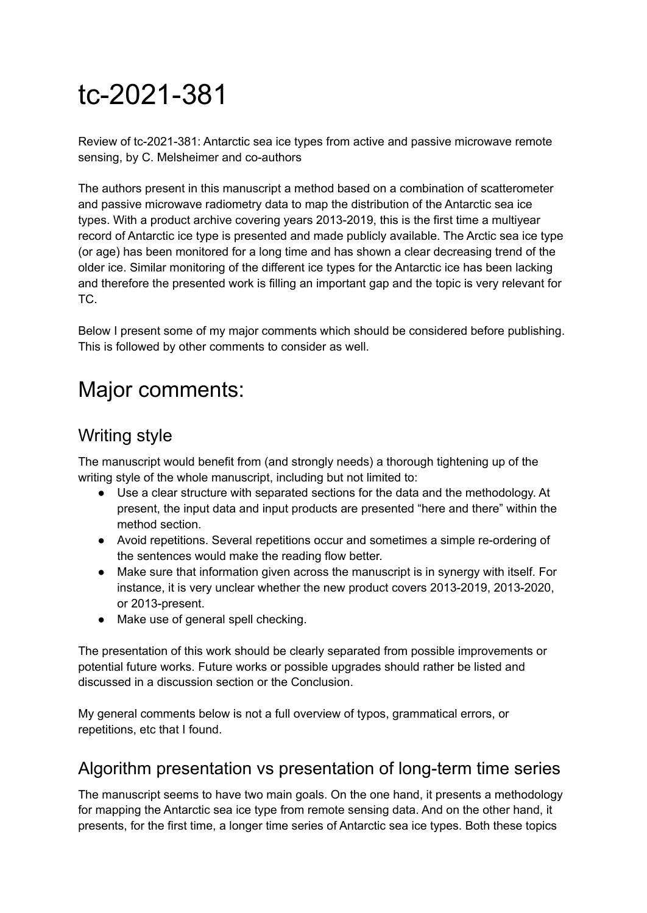# tc-2021-381

Review of tc-2021-381: Antarctic sea ice types from active and passive microwave remote sensing, by C. Melsheimer and co-authors

The authors present in this manuscript a method based on a combination of scatterometer and passive microwave radiometry data to map the distribution of the Antarctic sea ice types. With a product archive covering years 2013-2019, this is the first time a multiyear record of Antarctic ice type is presented and made publicly available. The Arctic sea ice type (or age) has been monitored for a long time and has shown a clear decreasing trend of the older ice. Similar monitoring of the different ice types for the Antarctic ice has been lacking and therefore the presented work is filling an important gap and the topic is very relevant for TC.

Below I present some of my major comments which should be considered before publishing. This is followed by other comments to consider as well.

## Major comments:

### Writing style

The manuscript would benefit from (and strongly needs) a thorough tightening up of the writing style of the whole manuscript, including but not limited to:

- Use a clear structure with separated sections for the data and the methodology. At present, the input data and input products are presented "here and there" within the method section.
- Avoid repetitions. Several repetitions occur and sometimes a simple re-ordering of the sentences would make the reading flow better.
- Make sure that information given across the manuscript is in synergy with itself. For instance, it is very unclear whether the new product covers 2013-2019, 2013-2020, or 2013-present.
- Make use of general spell checking.

The presentation of this work should be clearly separated from possible improvements or potential future works. Future works or possible upgrades should rather be listed and discussed in a discussion section or the Conclusion.

My general comments below is not a full overview of typos, grammatical errors, or repetitions, etc that I found.

#### Algorithm presentation vs presentation of long-term time series

The manuscript seems to have two main goals. On the one hand, it presents a methodology for mapping the Antarctic sea ice type from remote sensing data. And on the other hand, it presents, for the first time, a longer time series of Antarctic sea ice types. Both these topics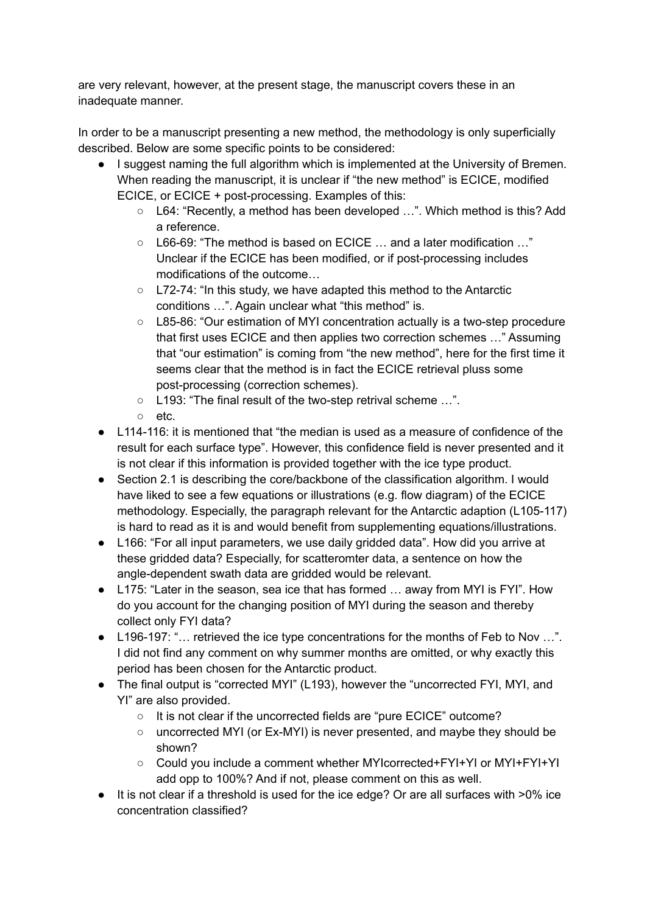are very relevant, however, at the present stage, the manuscript covers these in an inadequate manner.

In order to be a manuscript presenting a new method, the methodology is only superficially described. Below are some specific points to be considered:

- I suggest naming the full algorithm which is implemented at the University of Bremen. When reading the manuscript, it is unclear if "the new method" is ECICE, modified ECICE, or ECICE + post-processing. Examples of this:
	- L64: "Recently, a method has been developed …". Which method is this? Add a reference.
	- L66-69: "The method is based on ECICE … and a later modification …" Unclear if the ECICE has been modified, or if post-processing includes modifications of the outcome…
	- L72-74: "In this study, we have adapted this method to the Antarctic conditions …". Again unclear what "this method" is.
	- L85-86: "Our estimation of MYI concentration actually is a two-step procedure that first uses ECICE and then applies two correction schemes …" Assuming that "our estimation" is coming from "the new method", here for the first time it seems clear that the method is in fact the ECICE retrieval pluss some post-processing (correction schemes).
	- L193: "The final result of the two-step retrival scheme …".
	- etc.
- L114-116: it is mentioned that "the median is used as a measure of confidence of the result for each surface type". However, this confidence field is never presented and it is not clear if this information is provided together with the ice type product.
- Section 2.1 is describing the core/backbone of the classification algorithm. I would have liked to see a few equations or illustrations (e.g. flow diagram) of the ECICE methodology. Especially, the paragraph relevant for the Antarctic adaption (L105-117) is hard to read as it is and would benefit from supplementing equations/illustrations.
- L166: "For all input parameters, we use daily gridded data". How did you arrive at these gridded data? Especially, for scatteromter data, a sentence on how the angle-dependent swath data are gridded would be relevant.
- L175: "Later in the season, sea ice that has formed … away from MYI is FYI". How do you account for the changing position of MYI during the season and thereby collect only FYI data?
- L196-197: "... retrieved the ice type concentrations for the months of Feb to Nov ...". I did not find any comment on why summer months are omitted, or why exactly this period has been chosen for the Antarctic product.
- The final output is "corrected MYI" (L193), however the "uncorrected FYI, MYI, and YI" are also provided.
	- It is not clear if the uncorrected fields are "pure ECICE" outcome?
	- $\circ$  uncorrected MYI (or Ex-MYI) is never presented, and maybe they should be shown?
	- Could you include a comment whether MYIcorrected+FYI+YI or MYI+FYI+YI add opp to 100%? And if not, please comment on this as well.
- It is not clear if a threshold is used for the ice edge? Or are all surfaces with >0% ice concentration classified?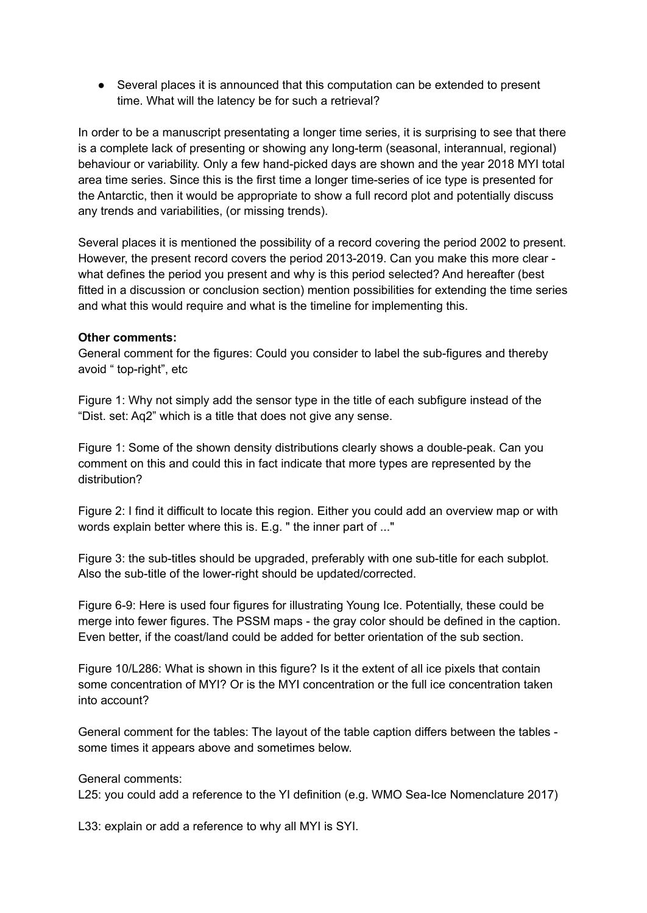● Several places it is announced that this computation can be extended to present time. What will the latency be for such a retrieval?

In order to be a manuscript presentating a longer time series, it is surprising to see that there is a complete lack of presenting or showing any long-term (seasonal, interannual, regional) behaviour or variability. Only a few hand-picked days are shown and the year 2018 MYI total area time series. Since this is the first time a longer time-series of ice type is presented for the Antarctic, then it would be appropriate to show a full record plot and potentially discuss any trends and variabilities, (or missing trends).

Several places it is mentioned the possibility of a record covering the period 2002 to present. However, the present record covers the period 2013-2019. Can you make this more clear what defines the period you present and why is this period selected? And hereafter (best fitted in a discussion or conclusion section) mention possibilities for extending the time series and what this would require and what is the timeline for implementing this.

#### **Other comments:**

General comment for the figures: Could you consider to label the sub-figures and thereby avoid " top-right", etc

Figure 1: Why not simply add the sensor type in the title of each subfigure instead of the "Dist. set: Aq2" which is a title that does not give any sense.

Figure 1: Some of the shown density distributions clearly shows a double-peak. Can you comment on this and could this in fact indicate that more types are represented by the distribution?

Figure 2: I find it difficult to locate this region. Either you could add an overview map or with words explain better where this is. E.g. " the inner part of ..."

Figure 3: the sub-titles should be upgraded, preferably with one sub-title for each subplot. Also the sub-title of the lower-right should be updated/corrected.

Figure 6-9: Here is used four figures for illustrating Young Ice. Potentially, these could be merge into fewer figures. The PSSM maps - the gray color should be defined in the caption. Even better, if the coast/land could be added for better orientation of the sub section.

Figure 10/L286: What is shown in this figure? Is it the extent of all ice pixels that contain some concentration of MYI? Or is the MYI concentration or the full ice concentration taken into account?

General comment for the tables: The layout of the table caption differs between the tables some times it appears above and sometimes below.

General comments:

L25: you could add a reference to the YI definition (e.g. WMO Sea-Ice Nomenclature 2017)

L33: explain or add a reference to why all MYI is SYI.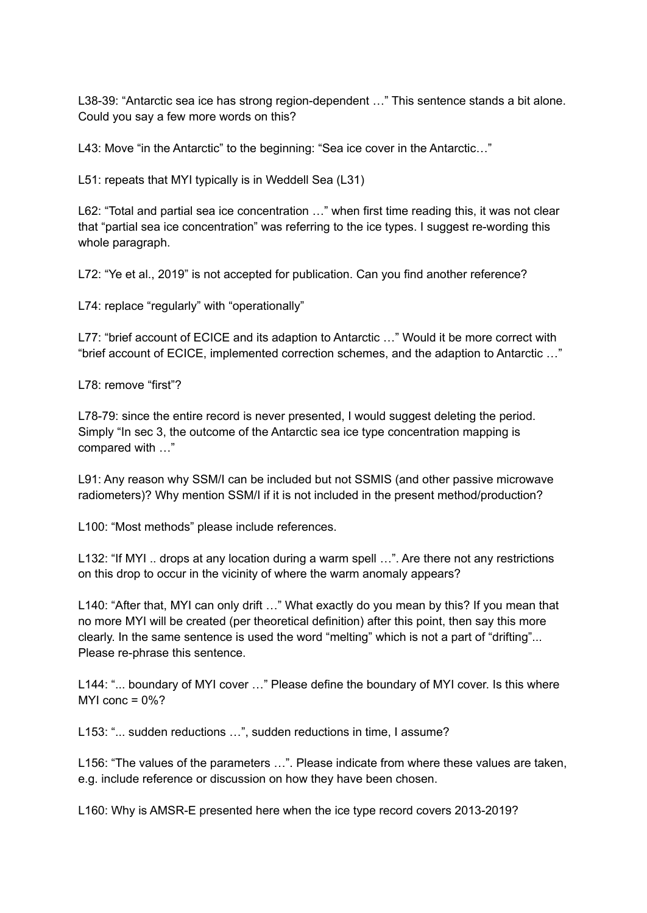L38-39: "Antarctic sea ice has strong region-dependent …" This sentence stands a bit alone. Could you say a few more words on this?

L43: Move "in the Antarctic" to the beginning: "Sea ice cover in the Antarctic..."

L51: repeats that MYI typically is in Weddell Sea (L31)

L62: "Total and partial sea ice concentration …" when first time reading this, it was not clear that "partial sea ice concentration" was referring to the ice types. I suggest re-wording this whole paragraph.

L72: "Ye et al., 2019" is not accepted for publication. Can you find another reference?

L74: replace "regularly" with "operationally"

L77: "brief account of ECICE and its adaption to Antarctic ..." Would it be more correct with "brief account of ECICE, implemented correction schemes, and the adaption to Antarctic …"

L78: remove "first"?

L78-79: since the entire record is never presented, I would suggest deleting the period. Simply "In sec 3, the outcome of the Antarctic sea ice type concentration mapping is compared with …"

L91: Any reason why SSM/I can be included but not SSMIS (and other passive microwave radiometers)? Why mention SSM/I if it is not included in the present method/production?

L100: "Most methods" please include references.

L132: "If MYI .. drops at any location during a warm spell ...". Are there not any restrictions on this drop to occur in the vicinity of where the warm anomaly appears?

L140: "After that, MYI can only drift …" What exactly do you mean by this? If you mean that no more MYI will be created (per theoretical definition) after this point, then say this more clearly. In the same sentence is used the word "melting" which is not a part of "drifting"... Please re-phrase this sentence.

L144: "... boundary of MYI cover …" Please define the boundary of MYI cover. Is this where MYI conc  $= 0\%$ ?

L153: "... sudden reductions ...", sudden reductions in time, I assume?

L156: "The values of the parameters …". Please indicate from where these values are taken, e.g. include reference or discussion on how they have been chosen.

L160: Why is AMSR-E presented here when the ice type record covers 2013-2019?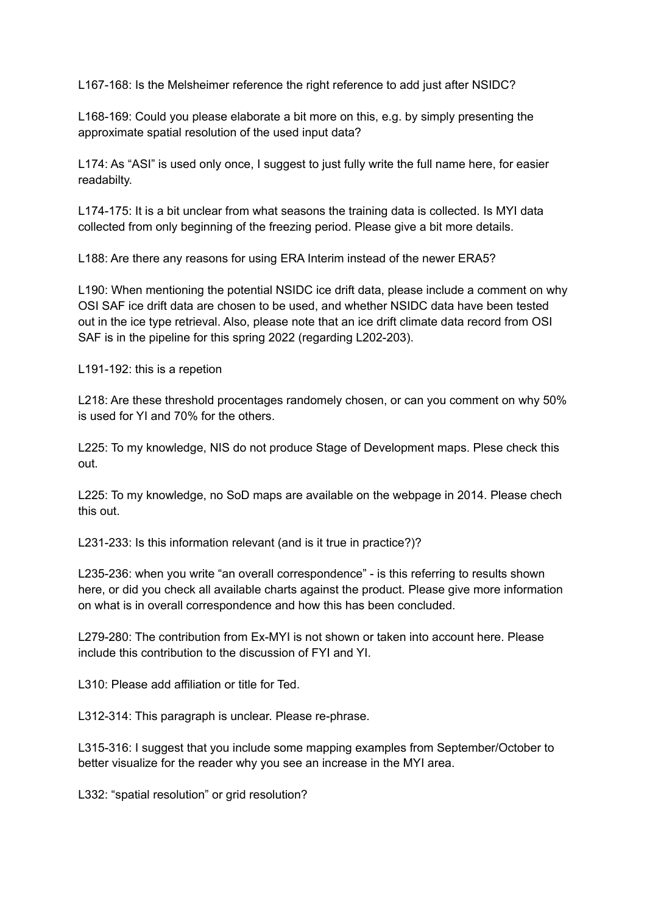L167-168: Is the Melsheimer reference the right reference to add just after NSIDC?

L168-169: Could you please elaborate a bit more on this, e.g. by simply presenting the approximate spatial resolution of the used input data?

L174: As "ASI" is used only once, I suggest to just fully write the full name here, for easier readabilty.

L174-175: It is a bit unclear from what seasons the training data is collected. Is MYI data collected from only beginning of the freezing period. Please give a bit more details.

L188: Are there any reasons for using ERA Interim instead of the newer ERA5?

L190: When mentioning the potential NSIDC ice drift data, please include a comment on why OSI SAF ice drift data are chosen to be used, and whether NSIDC data have been tested out in the ice type retrieval. Also, please note that an ice drift climate data record from OSI SAF is in the pipeline for this spring 2022 (regarding L202-203).

L191-192: this is a repetion

L218: Are these threshold procentages randomely chosen, or can you comment on why 50% is used for YI and 70% for the others.

L225: To my knowledge, NIS do not produce Stage of Development maps. Plese check this out.

L225: To my knowledge, no SoD maps are available on the webpage in 2014. Please chech this out.

L231-233: Is this information relevant (and is it true in practice?)?

L235-236: when you write "an overall correspondence" - is this referring to results shown here, or did you check all available charts against the product. Please give more information on what is in overall correspondence and how this has been concluded.

L279-280: The contribution from Ex-MYI is not shown or taken into account here. Please include this contribution to the discussion of FYI and YI.

L310: Please add affiliation or title for Ted.

L312-314: This paragraph is unclear. Please re-phrase.

L315-316: I suggest that you include some mapping examples from September/October to better visualize for the reader why you see an increase in the MYI area.

L332: "spatial resolution" or grid resolution?